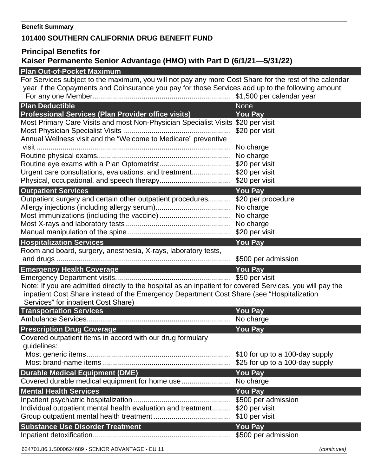## **Benefit Summary**

## **101400 SOUTHERN CALIFORNIA DRUG BENEFIT FUND**

## **Principal Benefits for Kaiser Permanente Senior Advantage (HMO) with Part D (6/1/21—5/31/22)**

## **Plan Out-of-Pocket Maximum**

For Services subject to the maximum, you will not pay any more Cost Share for the rest of the calendar year if the Copayments and Coinsurance you pay for those Services add up to the following amount: For any one Member.................................................................... \$1,500 per calendar year

| <b>Plan Deductible</b>                                                                                    | <b>None</b>                           |
|-----------------------------------------------------------------------------------------------------------|---------------------------------------|
| <b>Professional Services (Plan Provider office visits)</b>                                                | <b>You Pay</b>                        |
| Most Primary Care Visits and most Non-Physician Specialist Visits \$20 per visit                          |                                       |
|                                                                                                           | \$20 per visit                        |
| Annual Wellness visit and the "Welcome to Medicare" preventive                                            |                                       |
|                                                                                                           | No charge                             |
|                                                                                                           |                                       |
|                                                                                                           |                                       |
| Urgent care consultations, evaluations, and treatment\$20 per visit                                       |                                       |
|                                                                                                           |                                       |
| <b>Outpatient Services</b>                                                                                | <b>You Pay</b>                        |
| Outpatient surgery and certain other outpatient procedures \$20 per procedure                             |                                       |
|                                                                                                           |                                       |
|                                                                                                           | No charge                             |
|                                                                                                           |                                       |
|                                                                                                           |                                       |
| <b>Hospitalization Services</b>                                                                           | <b>You Pay</b>                        |
| Room and board, surgery, anesthesia, X-rays, laboratory tests,                                            |                                       |
|                                                                                                           | \$500 per admission                   |
| <b>Emergency Health Coverage</b><br><u> 1989 - Johann Barn, mars eta idazlear eta idazlear (h. 1989).</u> | <b>You Pay</b>                        |
|                                                                                                           |                                       |
| Note: If you are admitted directly to the hospital as an inpatient for covered Services, you will pay the |                                       |
| inpatient Cost Share instead of the Emergency Department Cost Share (see "Hospitalization                 |                                       |
| Services" for inpatient Cost Share)                                                                       |                                       |
| <b>Transportation Services</b>                                                                            | <b>You Pay</b>                        |
|                                                                                                           | No charge                             |
| <b>Prescription Drug Coverage</b>                                                                         | <b>You Pay</b>                        |
| Covered outpatient items in accord with our drug formulary                                                |                                       |
| guidelines:                                                                                               |                                       |
|                                                                                                           |                                       |
|                                                                                                           |                                       |
| <b>Durable Medical Equipment (DME)</b>                                                                    | <b>You Pay</b>                        |
|                                                                                                           |                                       |
| <b>Mental Health Services</b>                                                                             | <b>You Pay</b>                        |
|                                                                                                           | \$500 per admission                   |
| Individual outpatient mental health evaluation and treatment                                              |                                       |
|                                                                                                           | \$20 per visit                        |
|                                                                                                           | \$10 per visit                        |
|                                                                                                           |                                       |
| <b>Substance Use Disorder Treatment</b>                                                                   | <b>You Pay</b><br>\$500 per admission |

624701.86.1.S000624689 - SENIOR ADVANTAGE - EU 11 *(continues)*